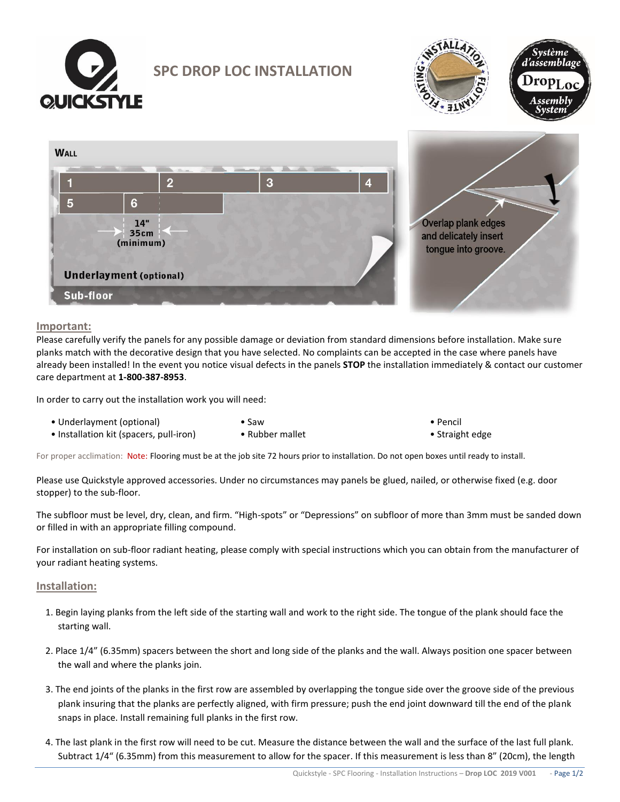

**SPC DROP LOC INSTALLATION**





# **Important:**

Please carefully verify the panels for any possible damage or deviation from standard dimensions before installation. Make sure planks match with the decorative design that you have selected. No complaints can be accepted in the case where panels have already been installed! In the event you notice visual defects in the panels **STOP** the installation immediately & contact our customer care department at **1-800-387-8953**.

In order to carry out the installation work you will need:

- Underlayment (optional)
- Installation kit (spacers, pull-iron)
- Saw • Rubber mallet

• Pencil • Straight edge

For proper acclimation: Note: Flooring must be at the job site 72 hours prior to installation. Do not open boxes until ready to install.

Please use Quickstyle approved accessories. Under no circumstances may panels be glued, nailed, or otherwise fixed (e.g. door stopper) to the sub-floor.

The subfloor must be level, dry, clean, and firm. "High-spots" or "Depressions" on subfloor of more than 3mm must be sanded down or filled in with an appropriate filling compound.

For installation on sub-floor radiant heating, please comply with special instructions which you can obtain from the manufacturer of your radiant heating systems.

# **Installation:**

- 1. Begin laying planks from the left side of the starting wall and work to the right side. The tongue of the plank should face the starting wall.
- 2. Place 1/4" (6.35mm) spacers between the short and long side of the planks and the wall. Always position one spacer between the wall and where the planks join.
- 3. The end joints of the planks in the first row are assembled by overlapping the tongue side over the groove side of the previous plank insuring that the planks are perfectly aligned, with firm pressure; push the end joint downward till the end of the plank snaps in place. Install remaining full planks in the first row.
- 4. The last plank in the first row will need to be cut. Measure the distance between the wall and the surface of the last full plank. Subtract 1/4" (6.35mm) from this measurement to allow for the spacer. If this measurement is less than 8" (20cm), the length